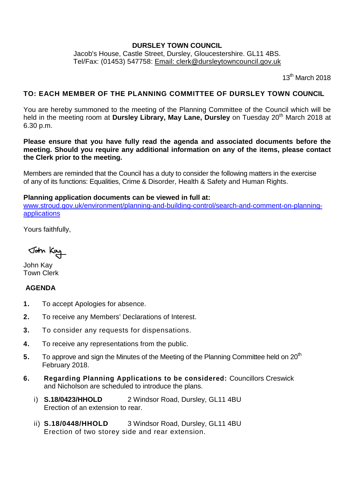### **DURSLEY TOWN COUNCIL**

Jacob's House, Castle Street, Dursley, Gloucestershire. GL11 4BS. Tel/Fax: (01453) 547758: [Email: clerk@dursleytowncouncil.gov.uk](mailto:clerk@dursleytowncouncil.gov.uk)

 $13<sup>th</sup>$  March 2018

# **TO: EACH MEMBER OF THE PLANNING COMMITTEE OF DURSLEY TOWN COUNCIL**

You are hereby summoned to the meeting of the Planning Committee of the Council which will be held in the meeting room at **Dursley Library, May Lane, Dursley** on Tuesday 20<sup>th</sup> March 2018 at 6.30 p.m.

**Please ensure that you have fully read the agenda and associated documents before the meeting. Should you require any additional information on any of the items, please contact the Clerk prior to the meeting.** 

Members are reminded that the Council has a duty to consider the following matters in the exercise of any of its functions: Equalities, Crime & Disorder, Health & Safety and Human Rights.

#### **Planning application documents can be viewed in full at:**

[www.stroud.gov.uk/environment/planning-and-building-control/search-and-comment-on-planning](http://www.stroud.gov.uk/environment/planning-and-building-control/search-and-comment-on-planning-applications)[applications](http://www.stroud.gov.uk/environment/planning-and-building-control/search-and-comment-on-planning-applications)

Yours faithfully,

John Kay

John Kay Town Clerk

## **AGENDA**

- **1.** To accept Apologies for absence.
- **2.** To receive any Members' Declarations of Interest.
- **3.** To consider any requests for dispensations.
- **4.** To receive any representations from the public.
- **5.** To approve and sign the Minutes of the Meeting of the Planning Committee held on 20<sup>th</sup> February 2018.
- **6. Regarding Planning Applications to be considered:** Councillors Creswick and Nicholson are scheduled to introduce the plans.
	- i) **S.18/0423/HHOLD** 2 Windsor Road, Dursley, GL11 4BU Erection of an extension to rear.
	- ii) **S.18/0448/HHOLD** 3 Windsor Road, Dursley, GL11 4BU Erection of two storey side and rear extension.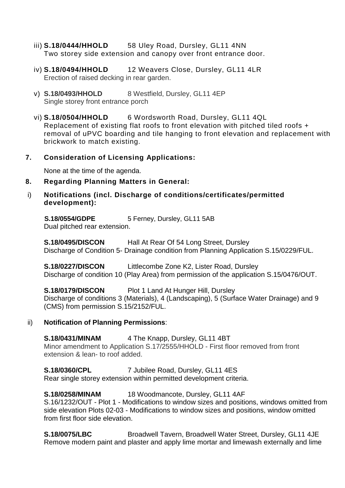- iii) **S.18/0444/HHOLD** 58 Uley Road, Dursley, GL11 4NN Two storey side extension and canopy over front entrance door.
- iv) **S.18/0494/HHOLD** 12 Weavers Close, Dursley, GL11 4LR Erection of raised decking in rear garden.
- v) **S.18/0493/HHOLD** 8 Westfield, Dursley, GL11 4EP Single storey front entrance porch
- vi) **S.18/0504/HHOLD** 6 Wordsworth Road, Dursley, GL11 4QL Replacement of existing flat roofs to front elevation with pitched tiled roofs + removal of uPVC boarding and tile hanging to front elevation and replacement with brickwork to match existing.
- **7. Consideration of Licensing Applications:**

None at the time of the agenda.

- **8. Regarding Planning Matters in General:**
- i) **Notifications (incl. Discharge of conditions/certificates/permitted development):**

**S.18/0554/GDPE** 5 Ferney, Dursley, GL11 5AB Dual pitched rear extension.

**S.18/0495/DISCON** Hall At Rear Of 54 Long Street, Dursley Discharge of Condition 5- Drainage condition from Planning Application S.15/0229/FUL.

**S.18/0227/DISCON** Littlecombe Zone K2, Lister Road, Dursley Discharge of condition 10 (Play Area) from permission of the application S.15/0476/OUT.

**S.18/0179/DISCON** Plot 1 Land At Hunger Hill, Dursley Discharge of conditions 3 (Materials), 4 (Landscaping), 5 (Surface Water Drainage) and 9 (CMS) from permission S.15/2152/FUL.

#### ii) **Notification of Planning Permissions**:

**S.18/0431/MINAM** 4 The Knapp, Dursley, GL11 4 BT Minor amendment to Application S.17/2555/HHOLD - First floor removed from front extension & lean- to roof added.

**S.18/0360/CPL** 7 Jubilee Road, Dursley, GL11 4ES

Rear single storey extension within permitted development criteria.

**S.18/0258/MINAM** 18 Woodmancote, Dursley, GL11 4AF

S.16/1232/OUT - Plot 1 - Modifications to window sizes and positions, windows omitted from side elevation Plots 02-03 - Modifications to window sizes and positions, window omitted from first floor side elevation.

**S.18/0075/LBC** Broadwell Tavern, Broadwell Water Street, Dursley, GL11 4JE Remove modern paint and plaster and apply lime mortar and limewash externally and lime